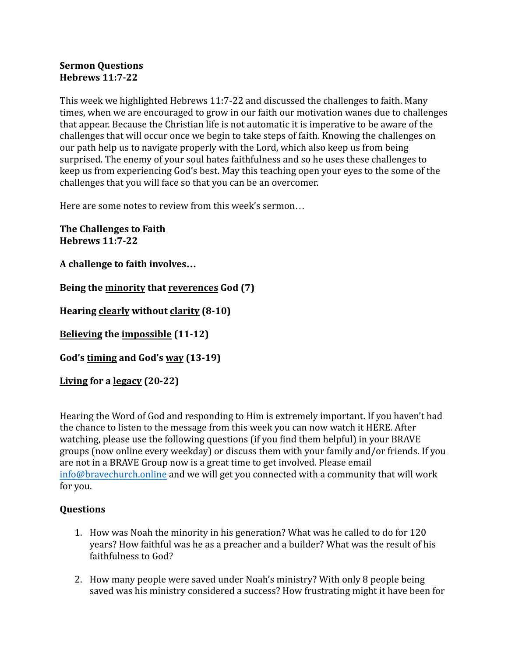## **Sermon Questions Hebrews 11:7-22**

This week we highlighted Hebrews 11:7-22 and discussed the challenges to faith. Many times, when we are encouraged to grow in our faith our motivation wanes due to challenges that appear. Because the Christian life is not automatic it is imperative to be aware of the challenges that will occur once we begin to take steps of faith. Knowing the challenges on our path help us to navigate properly with the Lord, which also keep us from being surprised. The enemy of your soul hates faithfulness and so he uses these challenges to keep us from experiencing God's best. May this teaching open your eyes to the some of the challenges that you will face so that you can be an overcomer.

Here are some notes to review from this week's sermon…

**The Challenges to Faith Hebrews 11:7-22**

**A challenge to faith involves…**

**Being the minority that reverences God (7)**

**Hearing clearly without clarity (8-10)**

**Believing the impossible (11-12)**

**God's timing and God's way (13-19)**

**Living for a legacy (20-22)**

Hearing the Word of God and responding to Him is extremely important. If you haven't had the chance to listen to the message from this week you can now watch it HERE. After watching, please use the following questions (if you find them helpful) in your BRAVE groups (now online every weekday) or discuss them with your family and/or friends. If you are not in a BRAVE Group now is a great time to get involved. Please email [info@bravechurch.online](mailto:info@bravechurch.online) and we will get you connected with a community that will work for you.

## **Questions**

- 1. How was Noah the minority in his generation? What was he called to do for 120 years? How faithful was he as a preacher and a builder? What was the result of his faithfulness to God?
- 2. How many people were saved under Noah's ministry? With only 8 people being saved was his ministry considered a success? How frustrating might it have been for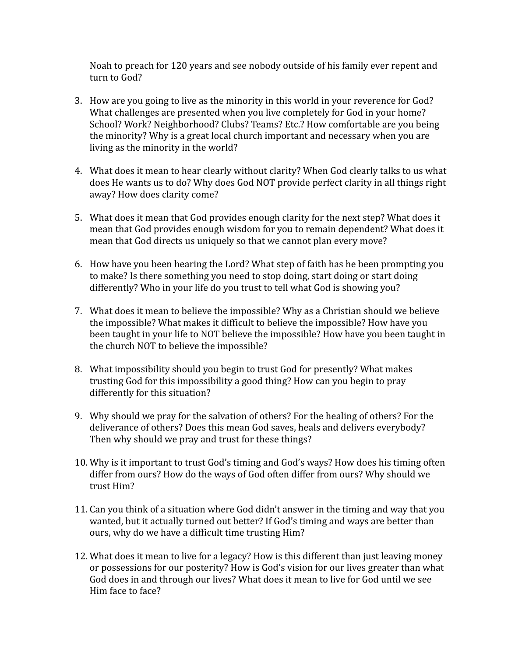Noah to preach for 120 years and see nobody outside of his family ever repent and turn to God?

- 3. How are you going to live as the minority in this world in your reverence for God? What challenges are presented when you live completely for God in your home? School? Work? Neighborhood? Clubs? Teams? Etc.? How comfortable are you being the minority? Why is a great local church important and necessary when you are living as the minority in the world?
- 4. What does it mean to hear clearly without clarity? When God clearly talks to us what does He wants us to do? Why does God NOT provide perfect clarity in all things right away? How does clarity come?
- 5. What does it mean that God provides enough clarity for the next step? What does it mean that God provides enough wisdom for you to remain dependent? What does it mean that God directs us uniquely so that we cannot plan every move?
- 6. How have you been hearing the Lord? What step of faith has he been prompting you to make? Is there something you need to stop doing, start doing or start doing differently? Who in your life do you trust to tell what God is showing you?
- 7. What does it mean to believe the impossible? Why as a Christian should we believe the impossible? What makes it difficult to believe the impossible? How have you been taught in your life to NOT believe the impossible? How have you been taught in the church NOT to believe the impossible?
- 8. What impossibility should you begin to trust God for presently? What makes trusting God for this impossibility a good thing? How can you begin to pray differently for this situation?
- 9. Why should we pray for the salvation of others? For the healing of others? For the deliverance of others? Does this mean God saves, heals and delivers everybody? Then why should we pray and trust for these things?
- 10. Why is it important to trust God's timing and God's ways? How does his timing often differ from ours? How do the ways of God often differ from ours? Why should we trust Him?
- 11. Can you think of a situation where God didn't answer in the timing and way that you wanted, but it actually turned out better? If God's timing and ways are better than ours, why do we have a difficult time trusting Him?
- 12. What does it mean to live for a legacy? How is this different than just leaving money or possessions for our posterity? How is God's vision for our lives greater than what God does in and through our lives? What does it mean to live for God until we see Him face to face?